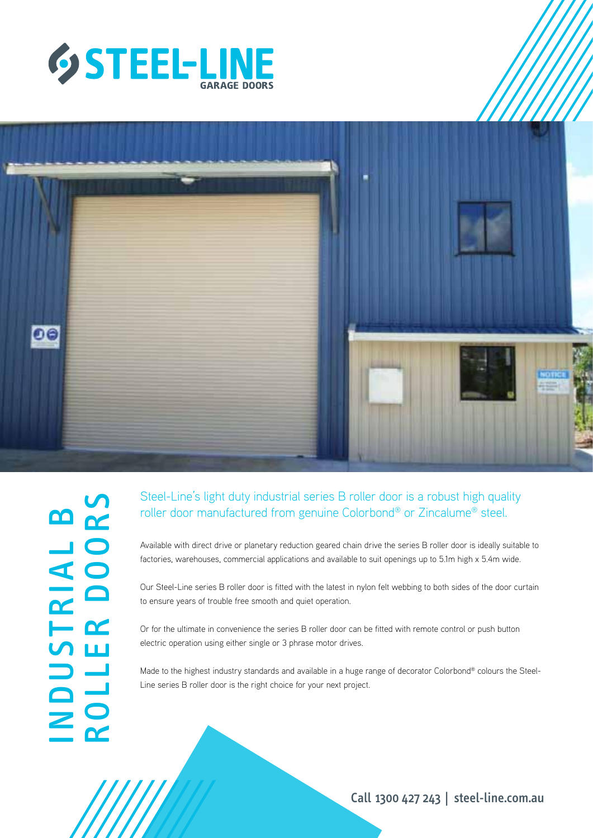



| <u>na</u>                  | <b>UN</b><br><u>na</u> |
|----------------------------|------------------------|
| لب                         | $\bullet$              |
| $\blacktriangleleft$       | $\bigcirc$             |
| <u>n2</u>                  | $\Box$                 |
| ┕                          | C                      |
| $\boldsymbol{\mathcal{C}}$ | Ш                      |
| $\overline{\phantom{a}}$   | المستحدة               |
| $\Box$                     |                        |
| $\geq$                     | $\bigcirc$             |
|                            | $\mathbf{C}$           |

## Steel-Line's light duty industrial series B roller door is a robust high quality roller door manufactured from genuine Colorbond® or Zincalume® steel.

Available with direct drive or planetary reduction geared chain drive the series B roller door is ideally suitable to factories, warehouses, commercial applications and available to suit openings up to 5.1m high x 5.4m wide.

Our Steel-Line series B roller door is fitted with the latest in nylon felt webbing to both sides of the door curtain to ensure years of trouble free smooth and quiet operation.

Or for the ultimate in convenience the series B roller door can be fitted with remote control or push button electric operation using either single or 3 phrase motor drives.

Made to the highest industry standards and available in a huge range of decorator Colorbond® colours the Steel-Line series B roller door is the right choice for your next project.

Call 1300 427 243 | steel-line.com.au